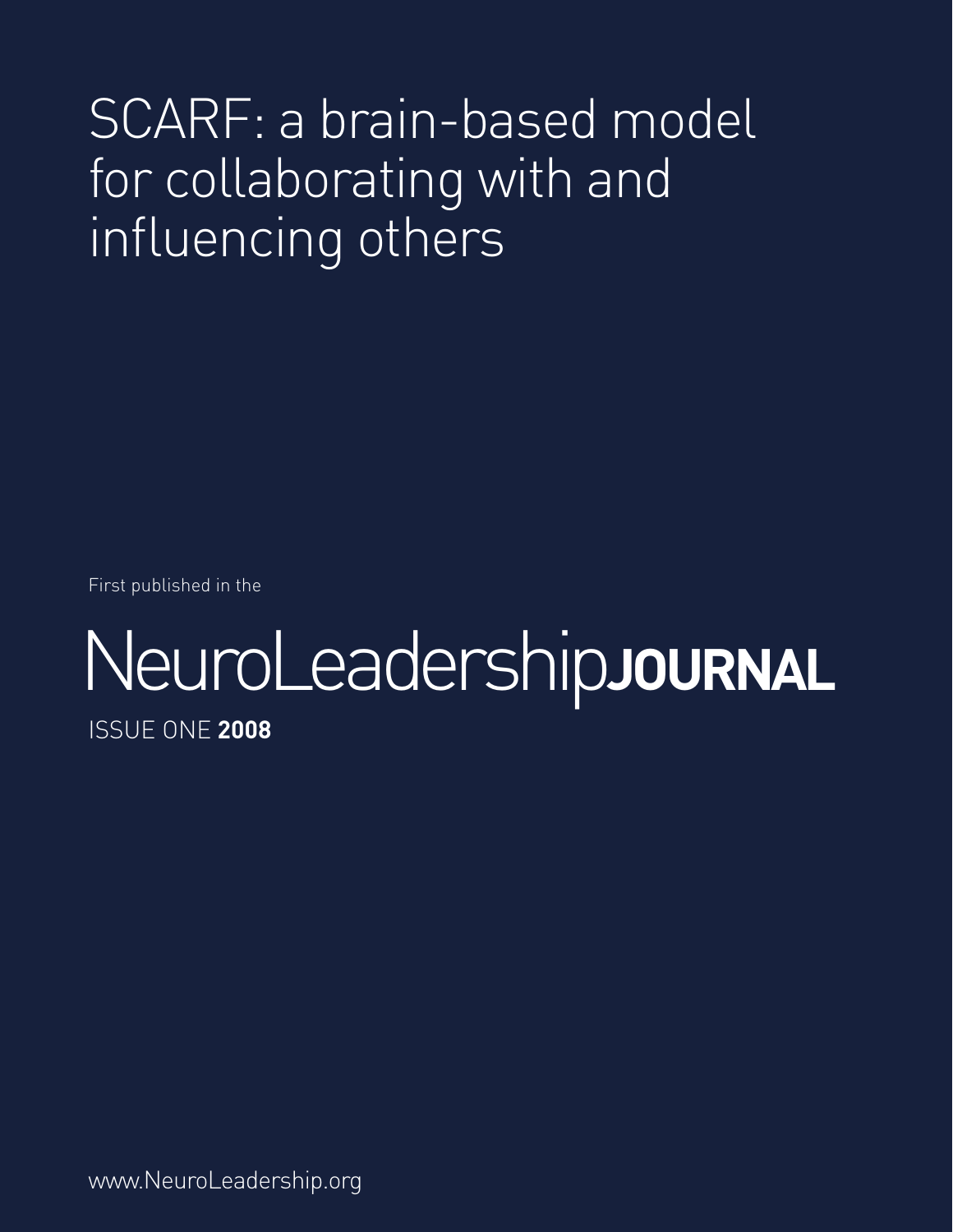# SCARF: a brain-based model for collaborating with and influencing others

First published in the

# NeuroLeadership**journal** issue one **2008**

www.NeuroLeadership.org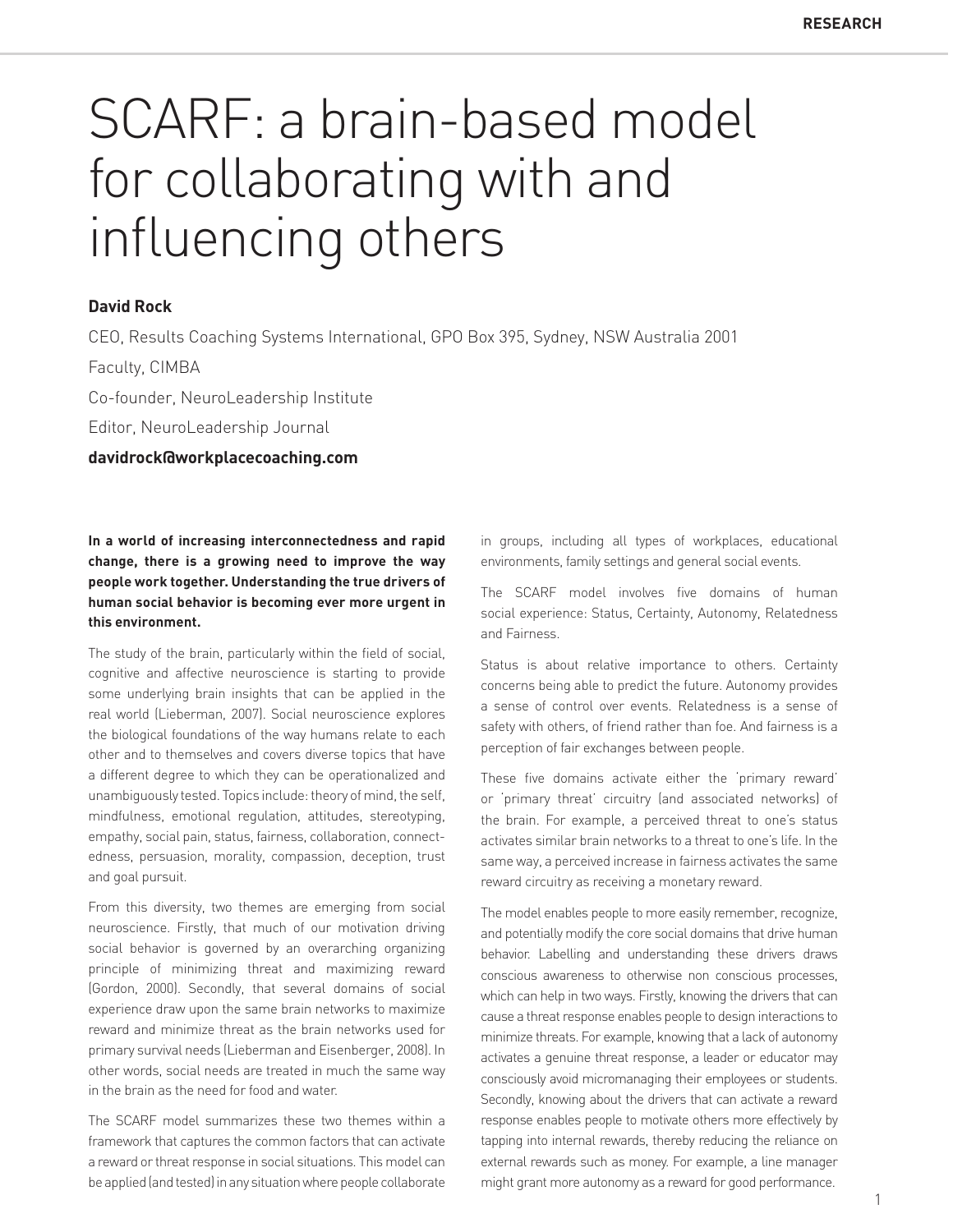# SCARF: a brain-based model for collaborating with and influencing others

## **David Rock**

CEO, Results Coaching Systems International, GPO Box 395, Sydney, NSW Australia 2001

Faculty, CIMBA

Co-founder, NeuroLeadership Institute

Editor, NeuroLeadership Journal

#### **davidrock@workplacecoaching.com**

## **In a world of increasing interconnectedness and rapid change, there is a growing need to improve the way people work together. Understanding the true drivers of human social behavior is becoming ever more urgent in this environment.**

The study of the brain, particularly within the field of social, cognitive and affective neuroscience is starting to provide some underlying brain insights that can be applied in the real world (Lieberman, 2007). Social neuroscience explores the biological foundations of the way humans relate to each other and to themselves and covers diverse topics that have a different degree to which they can be operationalized and unambiguously tested. Topics include: theory of mind, the self, mindfulness, emotional regulation, attitudes, stereotyping, empathy, social pain, status, fairness, collaboration, connectedness, persuasion, morality, compassion, deception, trust and goal pursuit.

From this diversity, two themes are emerging from social neuroscience. Firstly, that much of our motivation driving social behavior is governed by an overarching organizing principle of minimizing threat and maximizing reward (Gordon, 2000). Secondly, that several domains of social experience draw upon the same brain networks to maximize reward and minimize threat as the brain networks used for primary survival needs (Lieberman and Eisenberger, 2008). In other words, social needs are treated in much the same way in the brain as the need for food and water.

The SCARF model summarizes these two themes within a framework that captures the common factors that can activate a reward or threat response in social situations. This model can be applied (and tested) in any situation where people collaborate in groups, including all types of workplaces, educational environments, family settings and general social events.

The SCARF model involves five domains of human social experience: Status, Certainty, Autonomy, Relatedness and Fairness.

Status is about relative importance to others. Certainty concerns being able to predict the future. Autonomy provides a sense of control over events. Relatedness is a sense of safety with others, of friend rather than foe. And fairness is a perception of fair exchanges between people.

These five domains activate either the 'primary reward' or 'primary threat' circuitry (and associated networks) of the brain. For example, a perceived threat to one's status activates similar brain networks to a threat to one's life. In the same way, a perceived increase in fairness activates the same reward circuitry as receiving a monetary reward.

The model enables people to more easily remember, recognize, and potentially modify the core social domains that drive human behavior. Labelling and understanding these drivers draws conscious awareness to otherwise non conscious processes, which can help in two ways. Firstly, knowing the drivers that can cause a threat response enables people to design interactions to minimize threats. For example, knowing that a lack of autonomy activates a genuine threat response, a leader or educator may consciously avoid micromanaging their employees or students. Secondly, knowing about the drivers that can activate a reward response enables people to motivate others more effectively by tapping into internal rewards, thereby reducing the reliance on external rewards such as money. For example, a line manager might grant more autonomy as a reward for good performance.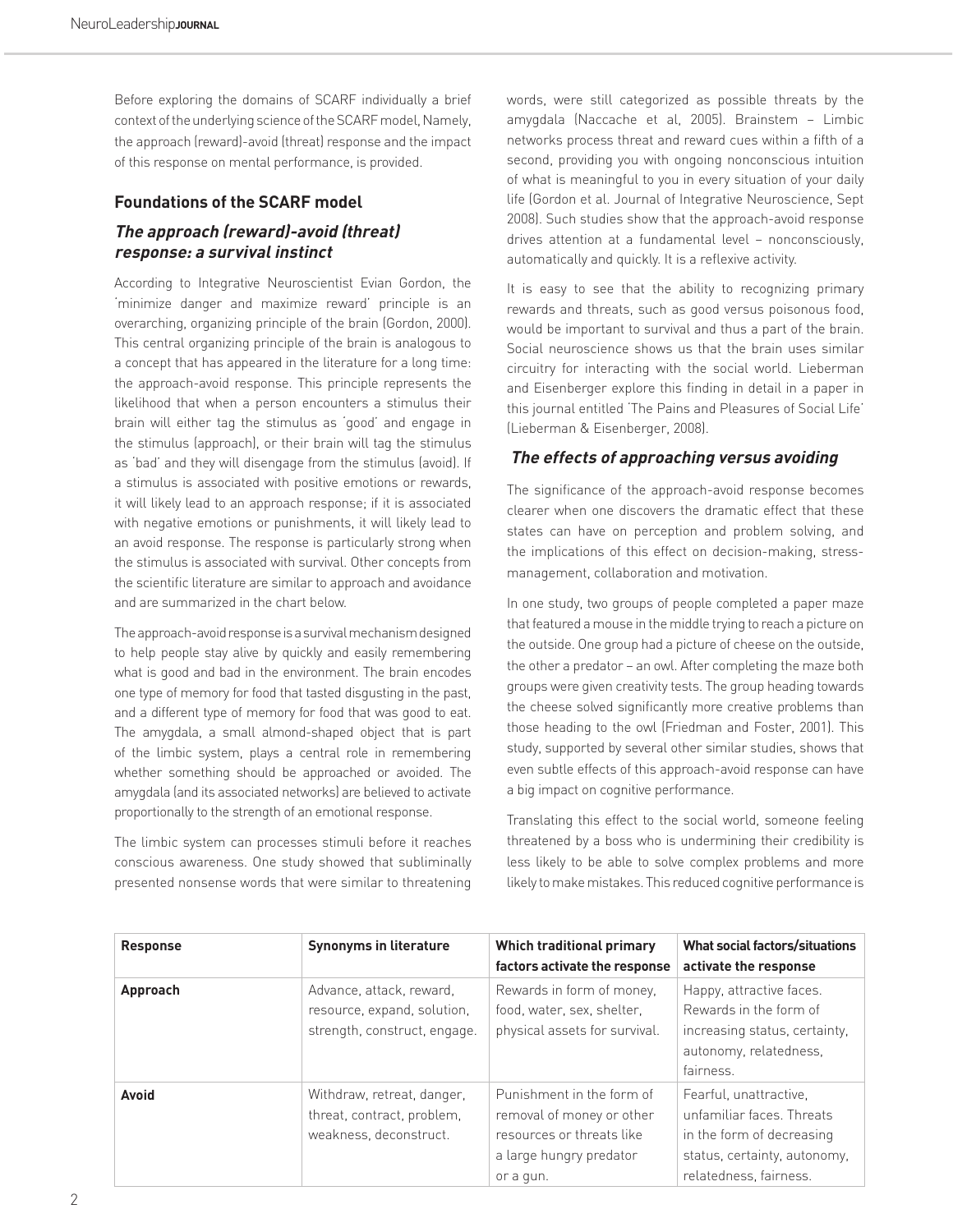Before exploring the domains of SCARF individually a brief context of the underlying science of the SCARF model, Namely, the approach (reward)-avoid (threat) response and the impact of this response on mental performance, is provided.

## **Foundations of the SCARF model**

# **The approach (reward)-avoid (threat) response: a survival instinct**

According to Integrative Neuroscientist Evian Gordon, the 'minimize danger and maximize reward' principle is an overarching, organizing principle of the brain (Gordon, 2000). This central organizing principle of the brain is analogous to a concept that has appeared in the literature for a long time: the approach-avoid response. This principle represents the likelihood that when a person encounters a stimulus their brain will either tag the stimulus as 'good' and engage in the stimulus (approach), or their brain will tag the stimulus as 'bad' and they will disengage from the stimulus (avoid). If a stimulus is associated with positive emotions or rewards, it will likely lead to an approach response; if it is associated with negative emotions or punishments, it will likely lead to an avoid response. The response is particularly strong when the stimulus is associated with survival. Other concepts from the scientific literature are similar to approach and avoidance and are summarized in the chart below.

The approach-avoid response is a survival mechanism designed to help people stay alive by quickly and easily remembering what is good and bad in the environment. The brain encodes one type of memory for food that tasted disgusting in the past, and a different type of memory for food that was good to eat. The amygdala, a small almond-shaped object that is part of the limbic system, plays a central role in remembering whether something should be approached or avoided. The amygdala (and its associated networks) are believed to activate proportionally to the strength of an emotional response.

The limbic system can processes stimuli before it reaches conscious awareness. One study showed that subliminally presented nonsense words that were similar to threatening

words, were still categorized as possible threats by the amygdala (Naccache et al, 2005). Brainstem – Limbic networks process threat and reward cues within a fifth of a second, providing you with ongoing nonconscious intuition of what is meaningful to you in every situation of your daily life (Gordon et al. Journal of Integrative Neuroscience, Sept 2008). Such studies show that the approach-avoid response drives attention at a fundamental level – nonconsciously, automatically and quickly. It is a reflexive activity.

It is easy to see that the ability to recognizing primary rewards and threats, such as good versus poisonous food, would be important to survival and thus a part of the brain. Social neuroscience shows us that the brain uses similar circuitry for interacting with the social world. Lieberman and Eisenberger explore this finding in detail in a paper in this journal entitled 'The Pains and Pleasures of Social Life' (Lieberman & Eisenberger, 2008).

# **The effects of approaching versus avoiding**

The significance of the approach-avoid response becomes clearer when one discovers the dramatic effect that these states can have on perception and problem solving, and the implications of this effect on decision-making, stressmanagement, collaboration and motivation.

In one study, two groups of people completed a paper maze that featured a mouse in the middle trying to reach a picture on the outside. One group had a picture of cheese on the outside, the other a predator – an owl. After completing the maze both groups were given creativity tests. The group heading towards the cheese solved significantly more creative problems than those heading to the owl (Friedman and Foster, 2001). This study, supported by several other similar studies, shows that even subtle effects of this approach-avoid response can have a big impact on cognitive performance.

Translating this effect to the social world, someone feeling threatened by a boss who is undermining their credibility is less likely to be able to solve complex problems and more likely to make mistakes. This reduced cognitive performance is

| <b>Response</b> | <b>Synonyms in literature</b>                                                           | Which traditional primary<br>factors activate the response                                                                  | What social factors/situations<br>activate the response                                                                                    |
|-----------------|-----------------------------------------------------------------------------------------|-----------------------------------------------------------------------------------------------------------------------------|--------------------------------------------------------------------------------------------------------------------------------------------|
| Approach        | Advance, attack, reward,<br>resource, expand, solution,<br>strength, construct, engage. | Rewards in form of money,<br>food, water, sex, shelter,<br>physical assets for survival.                                    | Happy, attractive faces.<br>Rewards in the form of<br>increasing status, certainty,<br>autonomy, relatedness,<br>fairness.                 |
| Avoid           | Withdraw, retreat, danger,<br>threat, contract, problem,<br>weakness, deconstruct.      | Punishment in the form of<br>removal of money or other<br>resources or threats like<br>a large hungry predator<br>or a gun. | Fearful, unattractive.<br>unfamiliar faces. Threats<br>in the form of decreasing<br>status, certainty, autonomy,<br>relatedness, fairness. |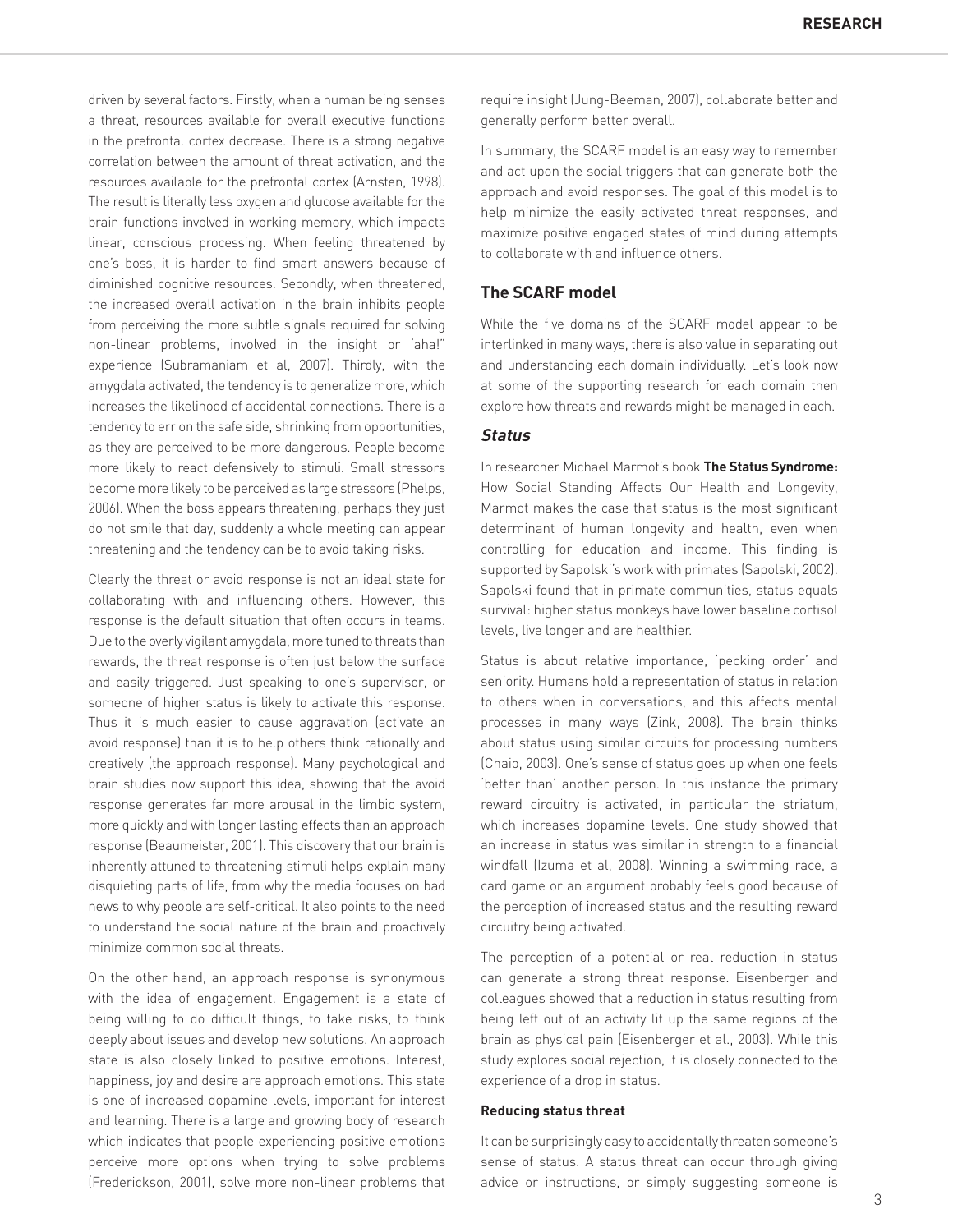driven by several factors. Firstly, when a human being senses a threat, resources available for overall executive functions in the prefrontal cortex decrease. There is a strong negative correlation between the amount of threat activation, and the resources available for the prefrontal cortex (Arnsten, 1998). The result is literally less oxygen and glucose available for the brain functions involved in working memory, which impacts linear, conscious processing. When feeling threatened by one's boss, it is harder to find smart answers because of diminished cognitive resources. Secondly, when threatened, the increased overall activation in the brain inhibits people from perceiving the more subtle signals required for solving non-linear problems, involved in the insight or 'aha!" experience (Subramaniam et al, 2007). Thirdly, with the amygdala activated, the tendency is to generalize more, which increases the likelihood of accidental connections. There is a tendency to err on the safe side, shrinking from opportunities, as they are perceived to be more dangerous. People become more likely to react defensively to stimuli. Small stressors become more likely to be perceived as large stressors (Phelps, 2006). When the boss appears threatening, perhaps they just do not smile that day, suddenly a whole meeting can appear threatening and the tendency can be to avoid taking risks.

Clearly the threat or avoid response is not an ideal state for collaborating with and influencing others. However, this response is the default situation that often occurs in teams. Due to the overly vigilant amygdala, more tuned to threats than rewards, the threat response is often just below the surface and easily triggered. Just speaking to one's supervisor, or someone of higher status is likely to activate this response. Thus it is much easier to cause aggravation (activate an avoid response) than it is to help others think rationally and creatively (the approach response). Many psychological and brain studies now support this idea, showing that the avoid response generates far more arousal in the limbic system, more quickly and with longer lasting effects than an approach response (Beaumeister, 2001). This discovery that our brain is inherently attuned to threatening stimuli helps explain many disquieting parts of life, from why the media focuses on bad news to why people are self-critical. It also points to the need to understand the social nature of the brain and proactively minimize common social threats.

On the other hand, an approach response is synonymous with the idea of engagement. Engagement is a state of being willing to do difficult things, to take risks, to think deeply about issues and develop new solutions. An approach state is also closely linked to positive emotions. Interest, happiness, joy and desire are approach emotions. This state is one of increased dopamine levels, important for interest and learning. There is a large and growing body of research which indicates that people experiencing positive emotions perceive more options when trying to solve problems (Frederickson, 2001), solve more non-linear problems that require insight (Jung-Beeman, 2007), collaborate better and generally perform better overall.

In summary, the SCARF model is an easy way to remember and act upon the social triggers that can generate both the approach and avoid responses. The goal of this model is to help minimize the easily activated threat responses, and maximize positive engaged states of mind during attempts to collaborate with and influence others.

## **The SCARF model**

While the five domains of the SCARF model appear to be interlinked in many ways, there is also value in separating out and understanding each domain individually. Let's look now at some of the supporting research for each domain then explore how threats and rewards might be managed in each.

#### **Status**

In researcher Michael Marmot's book **The Status Syndrome:**  How Social Standing Affects Our Health and Longevity, Marmot makes the case that status is the most significant determinant of human longevity and health, even when controlling for education and income. This finding is supported by Sapolski's work with primates (Sapolski, 2002). Sapolski found that in primate communities, status equals survival: higher status monkeys have lower baseline cortisol levels, live longer and are healthier.

Status is about relative importance, 'pecking order' and seniority. Humans hold a representation of status in relation to others when in conversations, and this affects mental processes in many ways (Zink, 2008). The brain thinks about status using similar circuits for processing numbers (Chaio, 2003). One's sense of status goes up when one feels 'better than' another person. In this instance the primary reward circuitry is activated, in particular the striatum, which increases dopamine levels. One study showed that an increase in status was similar in strength to a financial windfall (Izuma et al, 2008). Winning a swimming race, a card game or an argument probably feels good because of the perception of increased status and the resulting reward circuitry being activated.

The perception of a potential or real reduction in status can generate a strong threat response. Eisenberger and colleagues showed that a reduction in status resulting from being left out of an activity lit up the same regions of the brain as physical pain (Eisenberger et al., 2003). While this study explores social rejection, it is closely connected to the experience of a drop in status.

#### **Reducing status threat**

It can be surprisingly easy to accidentally threaten someone's sense of status. A status threat can occur through giving advice or instructions, or simply suggesting someone is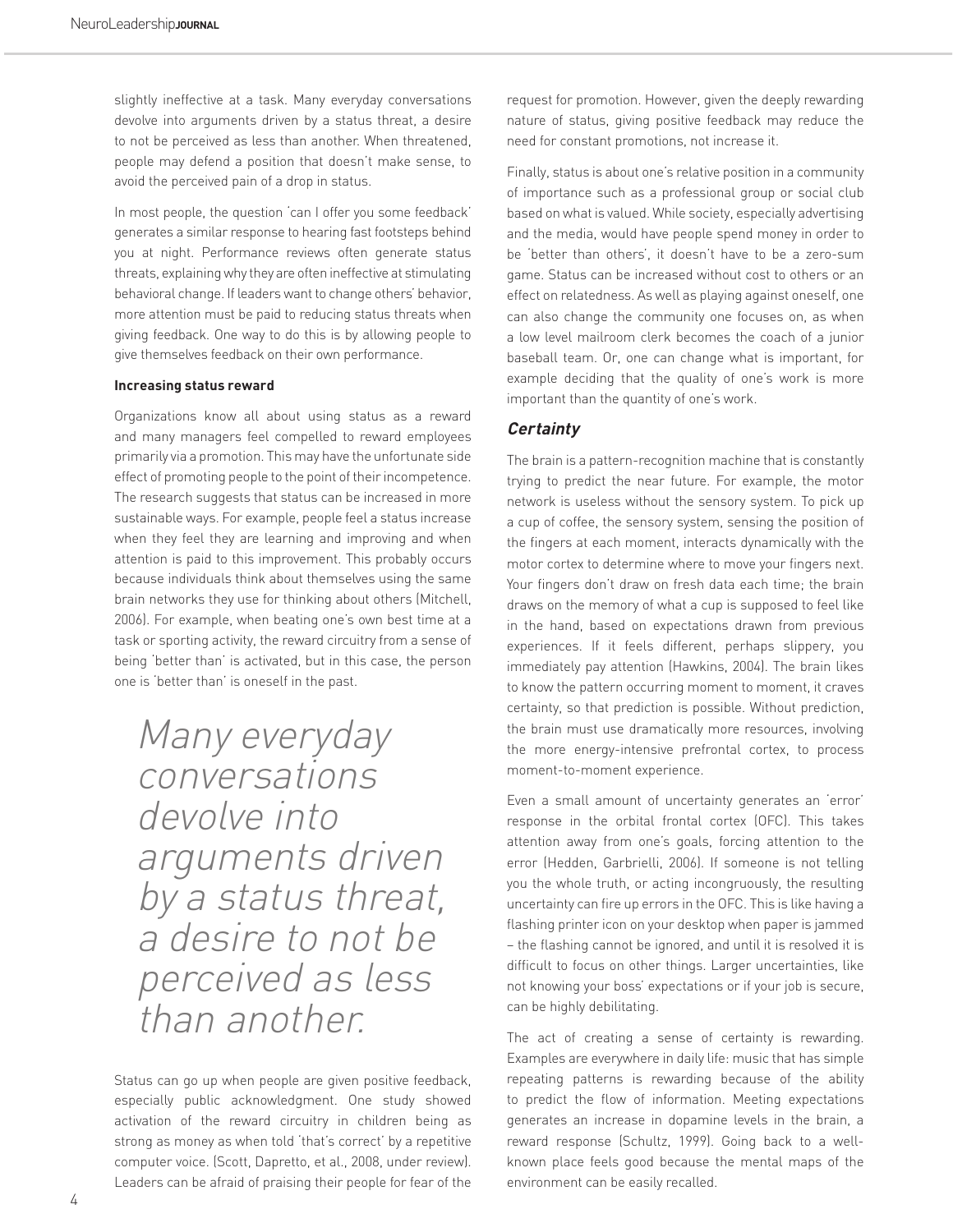slightly ineffective at a task. Many everyday conversations devolve into arguments driven by a status threat, a desire to not be perceived as less than another. When threatened, people may defend a position that doesn't make sense, to avoid the perceived pain of a drop in status.

In most people, the question 'can I offer you some feedback' generates a similar response to hearing fast footsteps behind you at night. Performance reviews often generate status threats, explaining why they are often ineffective at stimulating behavioral change. If leaders want to change others' behavior, more attention must be paid to reducing status threats when giving feedback. One way to do this is by allowing people to give themselves feedback on their own performance.

#### **Increasing status reward**

Organizations know all about using status as a reward and many managers feel compelled to reward employees primarily via a promotion. This may have the unfortunate side effect of promoting people to the point of their incompetence. The research suggests that status can be increased in more sustainable ways. For example, people feel a status increase when they feel they are learning and improving and when attention is paid to this improvement. This probably occurs because individuals think about themselves using the same brain networks they use for thinking about others (Mitchell, 2006). For example, when beating one's own best time at a task or sporting activity, the reward circuitry from a sense of being 'better than' is activated, but in this case, the person one is 'better than' is oneself in the past.

Many everyday conversations devolve into arguments driven by a status threat, a desire to not be perceived as less than another.

Status can go up when people are given positive feedback, especially public acknowledgment. One study showed activation of the reward circuitry in children being as strong as money as when told 'that's correct' by a repetitive computer voice. (Scott, Dapretto, et al., 2008, under review). Leaders can be afraid of praising their people for fear of the request for promotion. However, given the deeply rewarding nature of status, giving positive feedback may reduce the need for constant promotions, not increase it.

Finally, status is about one's relative position in a community of importance such as a professional group or social club based on what is valued. While society, especially advertising and the media, would have people spend money in order to be 'better than others', it doesn't have to be a zero-sum game. Status can be increased without cost to others or an effect on relatedness. As well as playing against oneself, one can also change the community one focuses on, as when a low level mailroom clerk becomes the coach of a junior baseball team. Or, one can change what is important, for example deciding that the quality of one's work is more important than the quantity of one's work.

## **Certainty**

The brain is a pattern-recognition machine that is constantly trying to predict the near future. For example, the motor network is useless without the sensory system. To pick up a cup of coffee, the sensory system, sensing the position of the fingers at each moment, interacts dynamically with the motor cortex to determine where to move your fingers next. Your fingers don't draw on fresh data each time; the brain draws on the memory of what a cup is supposed to feel like in the hand, based on expectations drawn from previous experiences. If it feels different, perhaps slippery, you immediately pay attention (Hawkins, 2004). The brain likes to know the pattern occurring moment to moment, it craves certainty, so that prediction is possible. Without prediction, the brain must use dramatically more resources, involving the more energy-intensive prefrontal cortex, to process moment-to-moment experience.

Even a small amount of uncertainty generates an 'error' response in the orbital frontal cortex (OFC). This takes attention away from one's goals, forcing attention to the error (Hedden, Garbrielli, 2006). If someone is not telling you the whole truth, or acting incongruously, the resulting uncertainty can fire up errors in the OFC. This is like having a flashing printer icon on your desktop when paper is jammed – the flashing cannot be ignored, and until it is resolved it is difficult to focus on other things. Larger uncertainties, like not knowing your boss' expectations or if your job is secure, can be highly debilitating.

The act of creating a sense of certainty is rewarding. Examples are everywhere in daily life: music that has simple repeating patterns is rewarding because of the ability to predict the flow of information. Meeting expectations generates an increase in dopamine levels in the brain, a reward response (Schultz, 1999). Going back to a wellknown place feels good because the mental maps of the environment can be easily recalled.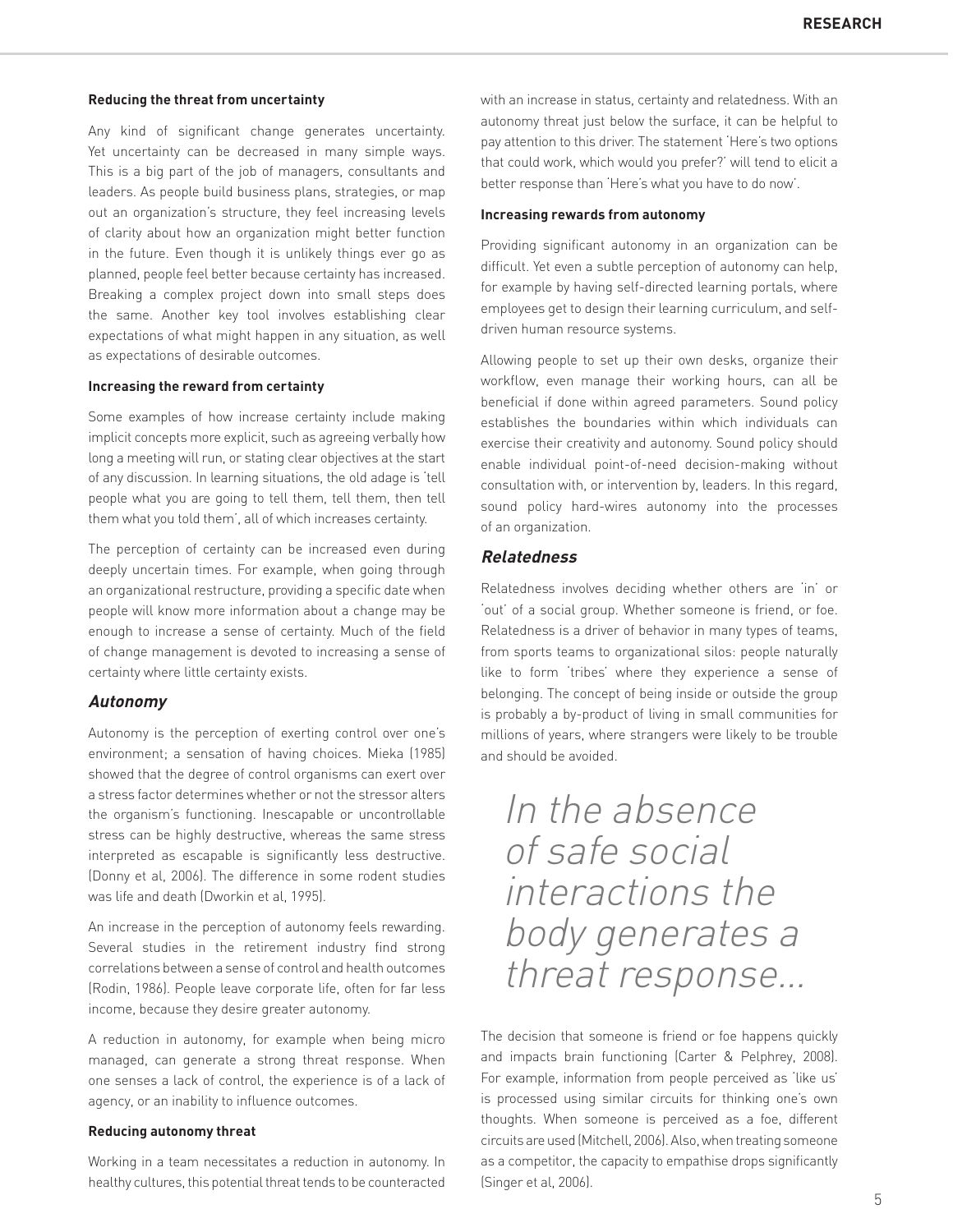#### **Reducing the threat from uncertainty**

Any kind of significant change generates uncertainty. Yet uncertainty can be decreased in many simple ways. This is a big part of the job of managers, consultants and leaders. As people build business plans, strategies, or map out an organization's structure, they feel increasing levels of clarity about how an organization might better function in the future. Even though it is unlikely things ever go as planned, people feel better because certainty has increased. Breaking a complex project down into small steps does the same. Another key tool involves establishing clear expectations of what might happen in any situation, as well as expectations of desirable outcomes.

#### **Increasing the reward from certainty**

Some examples of how increase certainty include making implicit concepts more explicit, such as agreeing verbally how long a meeting will run, or stating clear objectives at the start of any discussion. In learning situations, the old adage is 'tell people what you are going to tell them, tell them, then tell them what you told them', all of which increases certainty.

The perception of certainty can be increased even during deeply uncertain times. For example, when going through an organizational restructure, providing a specific date when people will know more information about a change may be enough to increase a sense of certainty. Much of the field of change management is devoted to increasing a sense of certainty where little certainty exists.

#### **Autonomy**

Autonomy is the perception of exerting control over one's environment; a sensation of having choices. Mieka (1985) showed that the degree of control organisms can exert over a stress factor determines whether or not the stressor alters the organism's functioning. Inescapable or uncontrollable stress can be highly destructive, whereas the same stress interpreted as escapable is significantly less destructive. (Donny et al, 2006). The difference in some rodent studies was life and death (Dworkin et al, 1995).

An increase in the perception of autonomy feels rewarding. Several studies in the retirement industry find strong correlations between a sense of control and health outcomes (Rodin, 1986). People leave corporate life, often for far less income, because they desire greater autonomy.

A reduction in autonomy, for example when being micro managed, can generate a strong threat response. When one senses a lack of control, the experience is of a lack of agency, or an inability to influence outcomes.

#### **Reducing autonomy threat**

Working in a team necessitates a reduction in autonomy. In healthy cultures, this potential threat tends to be counteracted

with an increase in status, certainty and relatedness. With an autonomy threat just below the surface, it can be helpful to pay attention to this driver. The statement 'Here's two options that could work, which would you prefer?' will tend to elicit a better response than 'Here's what you have to do now'.

#### **Increasing rewards from autonomy**

Providing significant autonomy in an organization can be difficult. Yet even a subtle perception of autonomy can help, for example by having self-directed learning portals, where employees get to design their learning curriculum, and selfdriven human resource systems.

Allowing people to set up their own desks, organize their workflow, even manage their working hours, can all be beneficial if done within agreed parameters. Sound policy establishes the boundaries within which individuals can exercise their creativity and autonomy. Sound policy should enable individual point-of-need decision-making without consultation with, or intervention by, leaders. In this regard, sound policy hard-wires autonomy into the processes of an organization.

# **Relatedness**

Relatedness involves deciding whether others are 'in' or 'out' of a social group. Whether someone is friend, or foe. Relatedness is a driver of behavior in many types of teams, from sports teams to organizational silos: people naturally like to form 'tribes' where they experience a sense of belonging. The concept of being inside or outside the group is probably a by-product of living in small communities for millions of years, where strangers were likely to be trouble and should be avoided.

In the absence of safe social interactions the body generates a threat response…

The decision that someone is friend or foe happens quickly and impacts brain functioning (Carter & Pelphrey, 2008). For example, information from people perceived as 'like us' is processed using similar circuits for thinking one's own thoughts. When someone is perceived as a foe, different circuits are used (Mitchell, 2006). Also, when treating someone as a competitor, the capacity to empathise drops significantly (Singer et al, 2006).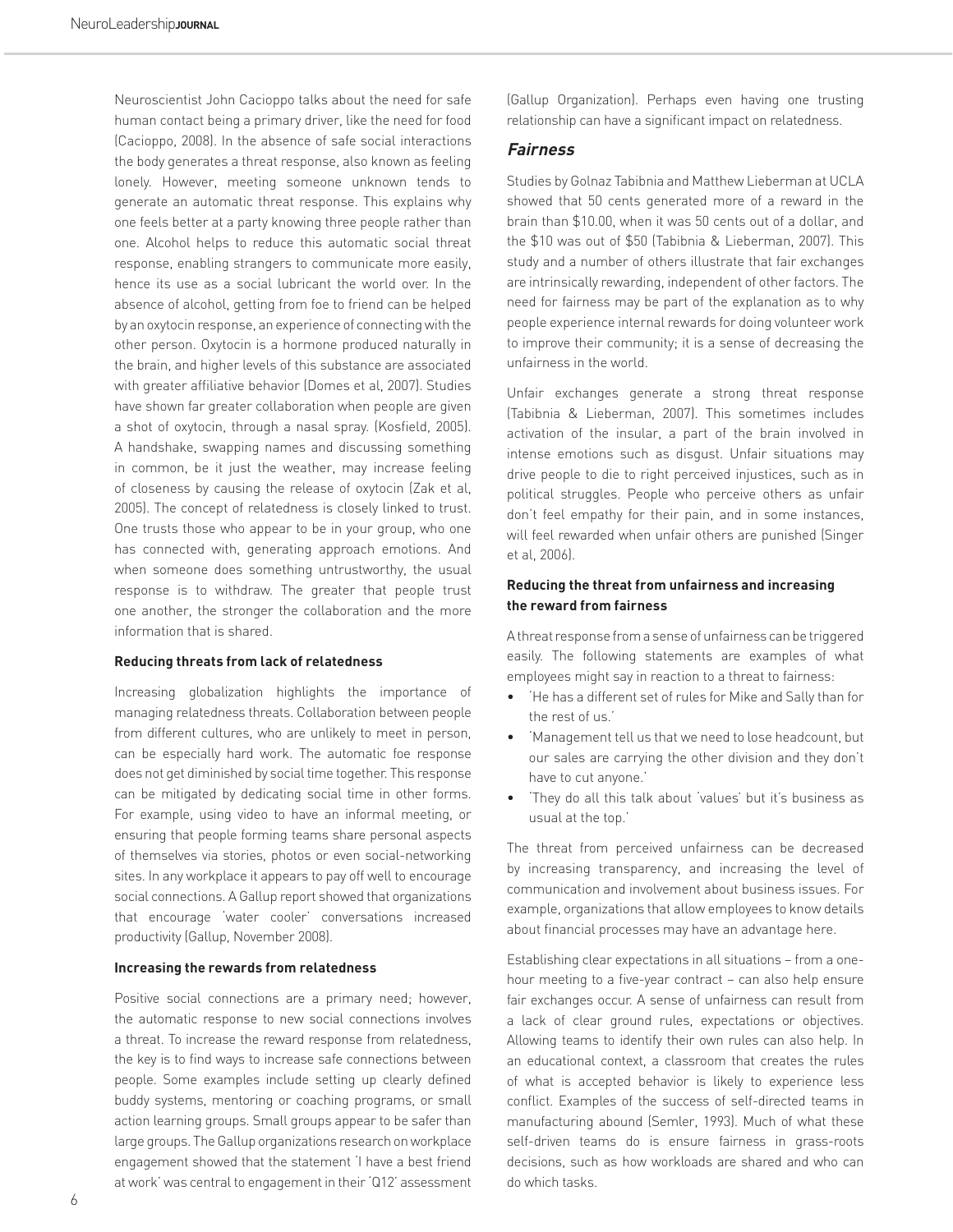Neuroscientist John Cacioppo talks about the need for safe human contact being a primary driver, like the need for food (Cacioppo, 2008). In the absence of safe social interactions the body generates a threat response, also known as feeling lonely. However, meeting someone unknown tends to generate an automatic threat response. This explains why one feels better at a party knowing three people rather than one. Alcohol helps to reduce this automatic social threat response, enabling strangers to communicate more easily, hence its use as a social lubricant the world over. In the absence of alcohol, getting from foe to friend can be helped by an oxytocin response, an experience of connecting with the other person. Oxytocin is a hormone produced naturally in the brain, and higher levels of this substance are associated with greater affiliative behavior (Domes et al, 2007). Studies have shown far greater collaboration when people are given a shot of oxytocin, through a nasal spray. (Kosfield, 2005). A handshake, swapping names and discussing something in common, be it just the weather, may increase feeling of closeness by causing the release of oxytocin (Zak et al, 2005). The concept of relatedness is closely linked to trust. One trusts those who appear to be in your group, who one has connected with, generating approach emotions. And when someone does something untrustworthy, the usual response is to withdraw. The greater that people trust one another, the stronger the collaboration and the more information that is shared.

#### **Reducing threats from lack of relatedness**

Increasing globalization highlights the importance of managing relatedness threats. Collaboration between people from different cultures, who are unlikely to meet in person, can be especially hard work. The automatic foe response does not get diminished by social time together. This response can be mitigated by dedicating social time in other forms. For example, using video to have an informal meeting, or ensuring that people forming teams share personal aspects of themselves via stories, photos or even social-networking sites. In any workplace it appears to pay off well to encourage social connections. A Gallup report showed that organizations that encourage 'water cooler' conversations increased productivity (Gallup, November 2008).

#### **Increasing the rewards from relatedness**

Positive social connections are a primary need; however, the automatic response to new social connections involves a threat. To increase the reward response from relatedness, the key is to find ways to increase safe connections between people. Some examples include setting up clearly defined buddy systems, mentoring or coaching programs, or small action learning groups. Small groups appear to be safer than large groups. The Gallup organizations research on workplace engagement showed that the statement 'I have a best friend at work' was central to engagement in their 'Q12' assessment (Gallup Organization). Perhaps even having one trusting relationship can have a significant impact on relatedness.

## **Fairness**

Studies by Golnaz Tabibnia and Matthew Lieberman at UCLA showed that 50 cents generated more of a reward in the brain than \$10.00, when it was 50 cents out of a dollar, and the \$10 was out of \$50 (Tabibnia & Lieberman, 2007). This study and a number of others illustrate that fair exchanges are intrinsically rewarding, independent of other factors. The need for fairness may be part of the explanation as to why people experience internal rewards for doing volunteer work to improve their community; it is a sense of decreasing the unfairness in the world.

Unfair exchanges generate a strong threat response (Tabibnia & Lieberman, 2007). This sometimes includes activation of the insular, a part of the brain involved in intense emotions such as disgust. Unfair situations may drive people to die to right perceived injustices, such as in political struggles. People who perceive others as unfair don't feel empathy for their pain, and in some instances, will feel rewarded when unfair others are punished (Singer et al, 2006).

## **Reducing the threat from unfairness and increasing the reward from fairness**

A threat response from a sense of unfairness can be triggered easily. The following statements are examples of what employees might say in reaction to a threat to fairness:

- 'He has a different set of rules for Mike and Sally than for the rest of us.'
- 'Management tell us that we need to lose headcount, but our sales are carrying the other division and they don't have to cut anyone.'
- 'They do all this talk about 'values' but it's business as usual at the top.'

The threat from perceived unfairness can be decreased by increasing transparency, and increasing the level of communication and involvement about business issues. For example, organizations that allow employees to know details about financial processes may have an advantage here.

Establishing clear expectations in all situations – from a onehour meeting to a five-year contract – can also help ensure fair exchanges occur. A sense of unfairness can result from a lack of clear ground rules, expectations or objectives. Allowing teams to identify their own rules can also help. In an educational context, a classroom that creates the rules of what is accepted behavior is likely to experience less conflict. Examples of the success of self-directed teams in manufacturing abound (Semler, 1993). Much of what these self-driven teams do is ensure fairness in grass-roots decisions, such as how workloads are shared and who can do which tasks.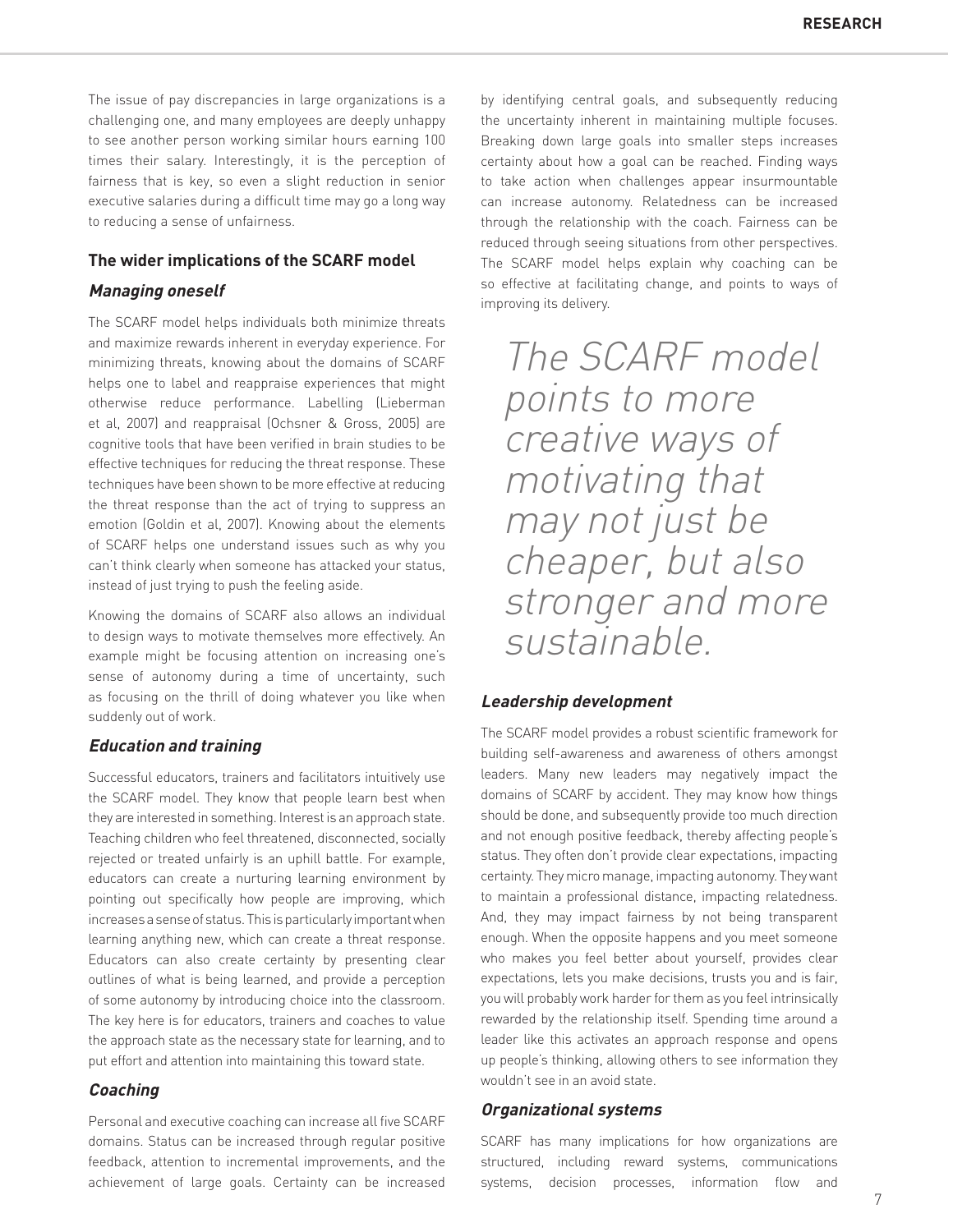The issue of pay discrepancies in large organizations is a challenging one, and many employees are deeply unhappy to see another person working similar hours earning 100 times their salary. Interestingly, it is the perception of fairness that is key, so even a slight reduction in senior executive salaries during a difficult time may go a long way to reducing a sense of unfairness.

#### **The wider implications of the Scarf model**

## **Managing oneself**

The SCARF model helps individuals both minimize threats and maximize rewards inherent in everyday experience. For minimizing threats, knowing about the domains of SCARF helps one to label and reappraise experiences that might otherwise reduce performance. Labelling (Lieberman et al, 2007) and reappraisal (Ochsner & Gross, 2005) are cognitive tools that have been verified in brain studies to be effective techniques for reducing the threat response. These techniques have been shown to be more effective at reducing the threat response than the act of trying to suppress an emotion (Goldin et al, 2007). Knowing about the elements of SCARF helps one understand issues such as why you can't think clearly when someone has attacked your status, instead of just trying to push the feeling aside.

Knowing the domains of SCARF also allows an individual to design ways to motivate themselves more effectively. An example might be focusing attention on increasing one's sense of autonomy during a time of uncertainty, such as focusing on the thrill of doing whatever you like when suddenly out of work.

## **Education and training**

Successful educators, trainers and facilitators intuitively use the SCARF model. They know that people learn best when they are interested in something. Interest is an approach state. Teaching children who feel threatened, disconnected, socially rejected or treated unfairly is an uphill battle. For example, educators can create a nurturing learning environment by pointing out specifically how people are improving, which increases a sense of status. This is particularly important when learning anything new, which can create a threat response. Educators can also create certainty by presenting clear outlines of what is being learned, and provide a perception of some autonomy by introducing choice into the classroom. The key here is for educators, trainers and coaches to value the approach state as the necessary state for learning, and to put effort and attention into maintaining this toward state.

#### **Coaching**

Personal and executive coaching can increase all five SCARF domains. Status can be increased through regular positive feedback, attention to incremental improvements, and the achievement of large goals. Certainty can be increased

by identifying central goals, and subsequently reducing the uncertainty inherent in maintaining multiple focuses. Breaking down large goals into smaller steps increases certainty about how a goal can be reached. Finding ways to take action when challenges appear insurmountable can increase autonomy. Relatedness can be increased through the relationship with the coach. Fairness can be reduced through seeing situations from other perspectives. The SCARF model helps explain why coaching can be so effective at facilitating change, and points to ways of improving its delivery.

The SCARF model points to more creative ways of motivating that may not just be cheaper, but also stronger and more sustainable.

## **Leadership development**

The SCARF model provides a robust scientific framework for building self-awareness and awareness of others amongst leaders. Many new leaders may negatively impact the domains of SCARF by accident. They may know how things should be done, and subsequently provide too much direction and not enough positive feedback, thereby affecting people's status. They often don't provide clear expectations, impacting certainty. They micro manage, impacting autonomy. They want to maintain a professional distance, impacting relatedness. And, they may impact fairness by not being transparent enough. When the opposite happens and you meet someone who makes you feel better about yourself, provides clear expectations, lets you make decisions, trusts you and is fair, you will probably work harder for them as you feel intrinsically rewarded by the relationship itself. Spending time around a leader like this activates an approach response and opens up people's thinking, allowing others to see information they wouldn't see in an avoid state.

#### **Organizational systems**

SCARF has many implications for how organizations are structured, including reward systems, communications systems, decision processes, information flow and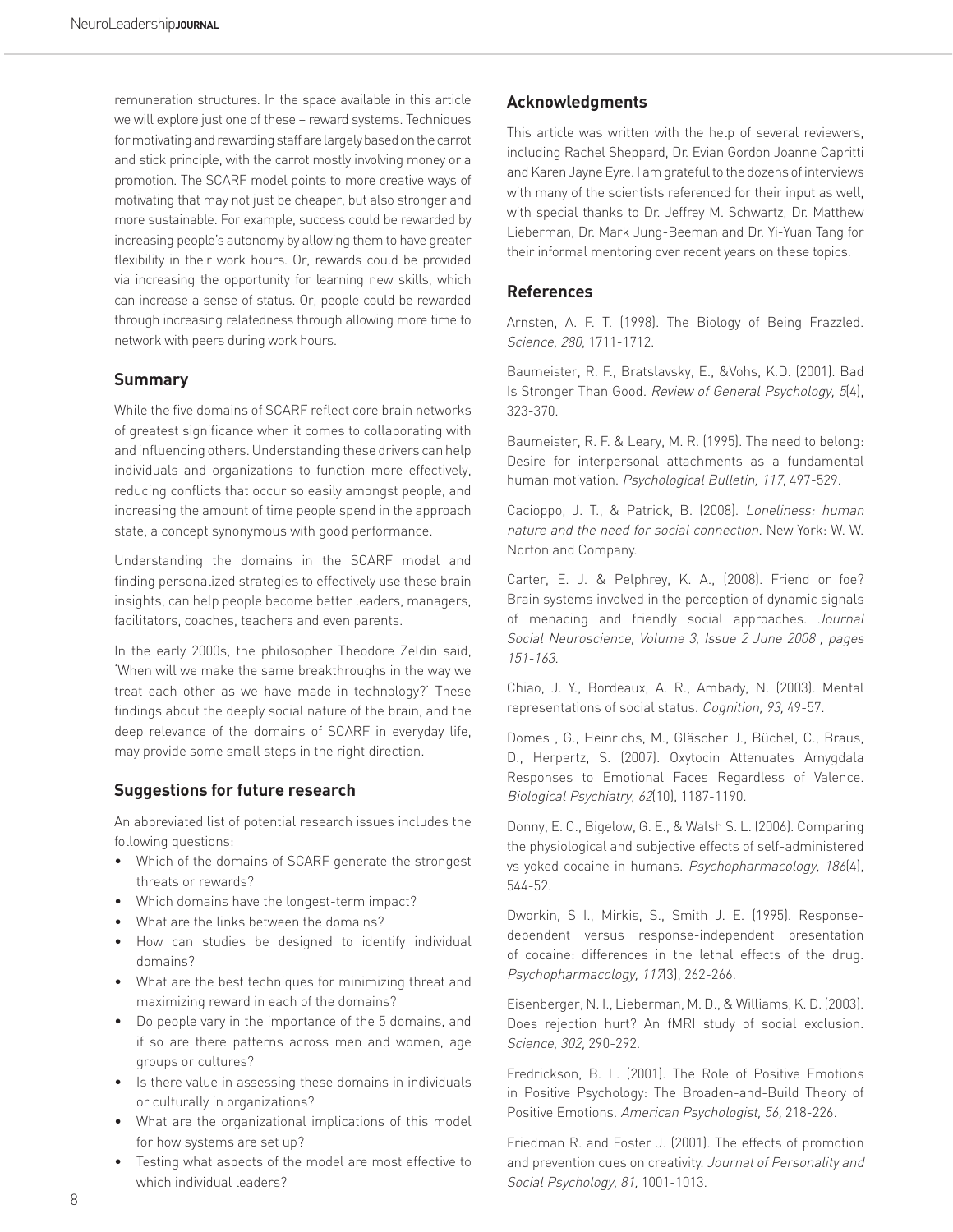remuneration structures. In the space available in this article we will explore just one of these – reward systems. Techniques for motivating and rewarding staff are largely based on the carrot and stick principle, with the carrot mostly involving money or a promotion. The SCARF model points to more creative ways of motivating that may not just be cheaper, but also stronger and more sustainable. For example, success could be rewarded by increasing people's autonomy by allowing them to have greater flexibility in their work hours. Or, rewards could be provided via increasing the opportunity for learning new skills, which can increase a sense of status. Or, people could be rewarded through increasing relatedness through allowing more time to network with peers during work hours.

## **Summary**

While the five domains of SCARF reflect core brain networks of greatest significance when it comes to collaborating with and influencing others. Understanding these drivers can help individuals and organizations to function more effectively, reducing conflicts that occur so easily amongst people, and increasing the amount of time people spend in the approach state, a concept synonymous with good performance.

Understanding the domains in the SCARF model and finding personalized strategies to effectively use these brain insights, can help people become better leaders, managers, facilitators, coaches, teachers and even parents.

In the early 2000s, the philosopher Theodore Zeldin said, 'When will we make the same breakthroughs in the way we treat each other as we have made in technology?' These findings about the deeply social nature of the brain, and the deep relevance of the domains of SCARF in everyday life, may provide some small steps in the right direction.

## **Suggestions for future research**

An abbreviated list of potential research issues includes the following questions:

- Which of the domains of SCARF generate the strongest threats or rewards?
- Which domains have the longest-term impact?
- What are the links between the domains?
- How can studies be designed to identify individual domains?
- What are the best techniques for minimizing threat and maximizing reward in each of the domains?
- Do people vary in the importance of the 5 domains, and if so are there patterns across men and women, age groups or cultures?
- Is there value in assessing these domains in individuals or culturally in organizations?
- What are the organizational implications of this model for how systems are set up?
- Testing what aspects of the model are most effective to which individual leaders?

## **Acknowledgments**

This article was written with the help of several reviewers, including Rachel Sheppard, Dr. Evian Gordon Joanne Capritti and Karen Jayne Eyre. I am grateful to the dozens of interviews with many of the scientists referenced for their input as well, with special thanks to Dr. Jeffrey M. Schwartz, Dr. Matthew Lieberman, Dr. Mark Jung-Beeman and Dr. Yi-Yuan Tang for their informal mentoring over recent years on these topics.

## **References**

Arnsten, A. F. T. (1998). The Biology of Being Frazzled. Science, 280, 1711-1712.

Baumeister, R. F., Bratslavsky, E., &Vohs, K.D. (2001). Bad Is Stronger Than Good. Review of General Psychology, 5(4), 323-370.

Baumeister, R. F. & Leary, M. R. (1995). The need to belong: Desire for interpersonal attachments as a fundamental human motivation. Psychological Bulletin, 117, 497-529.

Cacioppo, J. T., & Patrick, B. (2008). Loneliness: human nature and the need for social connection. New York: W. W. Norton and Company.

Carter, E. J. & Pelphrey, K. A., (2008). Friend or foe? Brain systems involved in the perception of dynamic signals of menacing and friendly social approaches. Journal Social Neuroscience, Volume 3, Issue 2 June 2008 , pages 151-163.

Chiao, J. Y., Bordeaux, A. R., Ambady, N. (2003). Mental representations of social status. Cognition, 93, 49-57.

Domes , G., Heinrichs, M., Gläscher J., Büchel, C., Braus, D., Herpertz, S. (2007). Oxytocin Attenuates Amygdala Responses to Emotional Faces Regardless of Valence. Biological Psychiatry, 62(10), 1187-1190.

Donny, E. C., Bigelow, G. E., & Walsh S. L. (2006). Comparing the physiological and subjective effects of self-administered vs yoked cocaine in humans. Psychopharmacology, 186(4), 544-52.

Dworkin, S I., Mirkis, S., Smith J. E. (1995). Responsedependent versus response-independent presentation of cocaine: differences in the lethal effects of the drug. Psychopharmacology, 117(3), 262-266.

Eisenberger, N. I., Lieberman, M. D., & Williams, K. D. (2003). Does rejection hurt? An fMRI study of social exclusion. Science, 302, 290-292.

Fredrickson, B. L. (2001). The Role of Positive Emotions in Positive Psychology: The Broaden-and-Build Theory of Positive Emotions. American Psychologist, 56, 218-226.

Friedman R. and Foster J. (2001). The effects of promotion and prevention cues on creativity. Journal of Personality and Social Psychology, 81, 1001-1013.